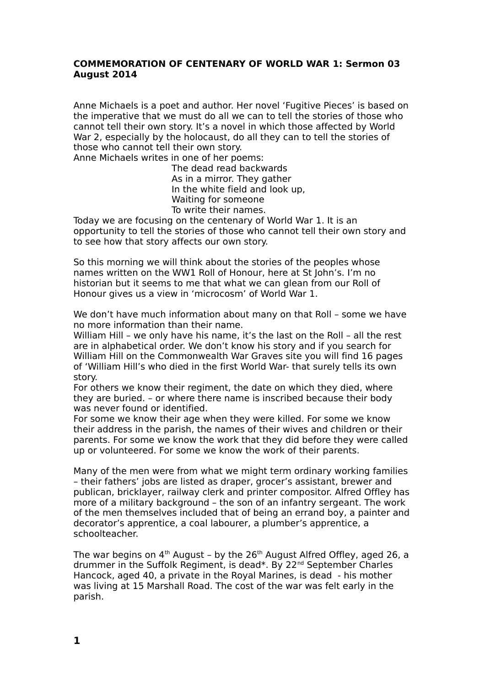## **COMMEMORATION OF CENTENARY OF WORLD WAR 1: Sermon 03 August 2014**

Anne Michaels is a poet and author. Her novel 'Fugitive Pieces' is based on the imperative that we must do all we can to tell the stories of those who cannot tell their own story. It's a novel in which those affected by World War 2, especially by the holocaust, do all they can to tell the stories of those who cannot tell their own story.

Anne Michaels writes in one of her poems:

The dead read backwards As in a mirror. They gather In the white field and look up, Waiting for someone To write their names.

Today we are focusing on the centenary of World War 1. It is an opportunity to tell the stories of those who cannot tell their own story and to see how that story affects our own story.

So this morning we will think about the stories of the peoples whose names written on the WW1 Roll of Honour, here at St John's. I'm no historian but it seems to me that what we can glean from our Roll of Honour gives us a view in 'microcosm' of World War 1.

We don't have much information about many on that Roll – some we have no more information than their name.

William Hill - we only have his name, it's the last on the Roll - all the rest are in alphabetical order. We don't know his story and if you search for William Hill on the Commonwealth War Graves site you will find 16 pages of 'William Hill's who died in the first World War- that surely tells its own story.

For others we know their regiment, the date on which they died, where they are buried. – or where there name is inscribed because their body was never found or identified.

For some we know their age when they were killed. For some we know their address in the parish, the names of their wives and children or their parents. For some we know the work that they did before they were called up or volunteered. For some we know the work of their parents.

Many of the men were from what we might term ordinary working families – their fathers' jobs are listed as draper, grocer's assistant, brewer and publican, bricklayer, railway clerk and printer compositor. Alfred Offley has more of a military background – the son of an infantry sergeant. The work of the men themselves included that of being an errand boy, a painter and decorator's apprentice, a coal labourer, a plumber's apprentice, a schoolteacher.

The war begins on  $4<sup>th</sup>$  August – by the  $26<sup>th</sup>$  August Alfred Offley, aged 26, a drummer in the Suffolk Regiment, is dead\*. By 22nd September Charles Hancock, aged 40, a private in the Royal Marines, is dead - his mother was living at 15 Marshall Road. The cost of the war was felt early in the parish.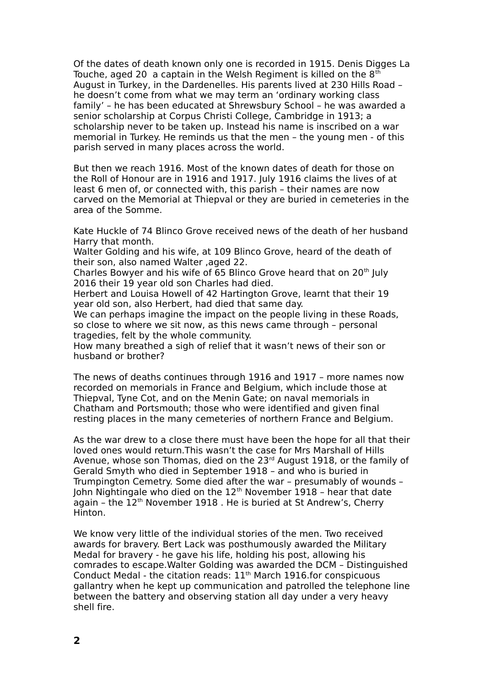Of the dates of death known only one is recorded in 1915. Denis Digges La Touche, aged 20 a captain in the Welsh Regiment is killed on the  $8<sup>th</sup>$ August in Turkey, in the Dardenelles. His parents lived at 230 Hills Road – he doesn't come from what we may term an 'ordinary working class family' – he has been educated at Shrewsbury School – he was awarded a senior scholarship at Corpus Christi College, Cambridge in 1913; a scholarship never to be taken up. Instead his name is inscribed on a war memorial in Turkey. He reminds us that the men – the young men - of this parish served in many places across the world.

But then we reach 1916. Most of the known dates of death for those on the Roll of Honour are in 1916 and 1917. July 1916 claims the lives of at least 6 men of, or connected with, this parish – their names are now carved on the Memorial at Thiepval or they are buried in cemeteries in the area of the Somme.

Kate Huckle of 74 Blinco Grove received news of the death of her husband Harry that month.

Walter Golding and his wife, at 109 Blinco Grove, heard of the death of their son, also named Walter ,aged 22.

Charles Bowyer and his wife of 65 Blinco Grove heard that on 20<sup>th</sup> July 2016 their 19 year old son Charles had died.

Herbert and Louisa Howell of 42 Hartington Grove, learnt that their 19 year old son, also Herbert, had died that same day.

We can perhaps imagine the impact on the people living in these Roads, so close to where we sit now, as this news came through – personal tragedies, felt by the whole community.

How many breathed a sigh of relief that it wasn't news of their son or husband or brother?

The news of deaths continues through 1916 and 1917 – more names now recorded on memorials in France and Belgium, which include those at Thiepval, Tyne Cot, and on the Menin Gate; on naval memorials in Chatham and Portsmouth; those who were identified and given final resting places in the many cemeteries of northern France and Belgium.

As the war drew to a close there must have been the hope for all that their loved ones would return.This wasn't the case for Mrs Marshall of Hills Avenue, whose son Thomas, died on the  $23<sup>rd</sup>$  August 1918, or the family of Gerald Smyth who died in September 1918 – and who is buried in Trumpington Cemetry. Some died after the war – presumably of wounds – John Nightingale who died on the  $12<sup>th</sup>$  November 1918 - hear that date again - the  $12<sup>th</sup>$  November 1918. He is buried at St Andrew's, Cherry Hinton.

We know very little of the individual stories of the men. Two received awards for bravery. Bert Lack was posthumously awarded the Military Medal for bravery - he gave his life, holding his post, allowing his comrades to escape.Walter Golding was awarded the DCM – Distinguished Conduct Medal - the citation reads:  $11<sup>th</sup>$  March 1916.for conspicuous gallantry when he kept up communication and patrolled the telephone line between the battery and observing station all day under a very heavy shell fire.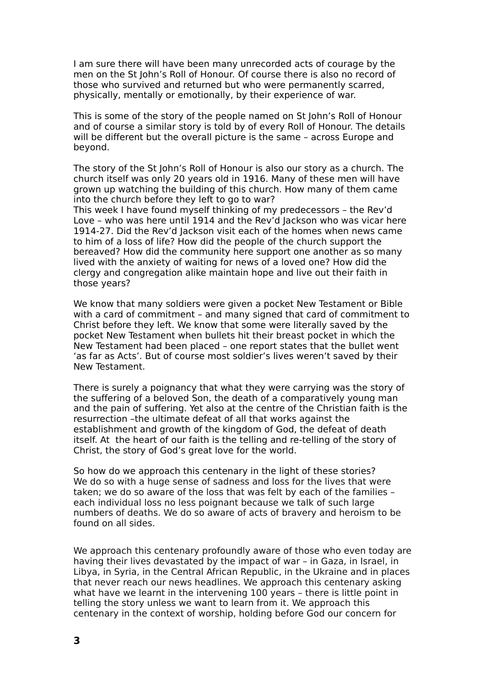I am sure there will have been many unrecorded acts of courage by the men on the St John's Roll of Honour. Of course there is also no record of those who survived and returned but who were permanently scarred, physically, mentally or emotionally, by their experience of war.

This is some of the story of the people named on St John's Roll of Honour and of course a similar story is told by of every Roll of Honour. The details will be different but the overall picture is the same – across Europe and beyond.

The story of the St John's Roll of Honour is also our story as a church. The church itself was only 20 years old in 1916. Many of these men will have grown up watching the building of this church. How many of them came into the church before they left to go to war?

This week I have found myself thinking of my predecessors – the Rev'd Love – who was here until 1914 and the Rev'd Jackson who was vicar here 1914-27. Did the Rev'd Jackson visit each of the homes when news came to him of a loss of life? How did the people of the church support the bereaved? How did the community here support one another as so many lived with the anxiety of waiting for news of a loved one? How did the clergy and congregation alike maintain hope and live out their faith in those years?

We know that many soldiers were given a pocket New Testament or Bible with a card of commitment – and many signed that card of commitment to Christ before they left. We know that some were literally saved by the pocket New Testament when bullets hit their breast pocket in which the New Testament had been placed – one report states that the bullet went 'as far as Acts'. But of course most soldier's lives weren't saved by their New Testament.

There is surely a poignancy that what they were carrying was the story of the suffering of a beloved Son, the death of a comparatively young man and the pain of suffering. Yet also at the centre of the Christian faith is the resurrection –the ultimate defeat of all that works against the establishment and growth of the kingdom of God, the defeat of death itself. At the heart of our faith is the telling and re-telling of the story of Christ, the story of God's great love for the world.

So how do we approach this centenary in the light of these stories? We do so with a huge sense of sadness and loss for the lives that were taken; we do so aware of the loss that was felt by each of the families – each individual loss no less poignant because we talk of such large numbers of deaths. We do so aware of acts of bravery and heroism to be found on all sides.

We approach this centenary profoundly aware of those who even today are having their lives devastated by the impact of war – in Gaza, in Israel, in Libya, in Syria, in the Central African Republic, in the Ukraine and in places that never reach our news headlines. We approach this centenary asking what have we learnt in the intervening 100 years – there is little point in telling the story unless we want to learn from it. We approach this centenary in the context of worship, holding before God our concern for